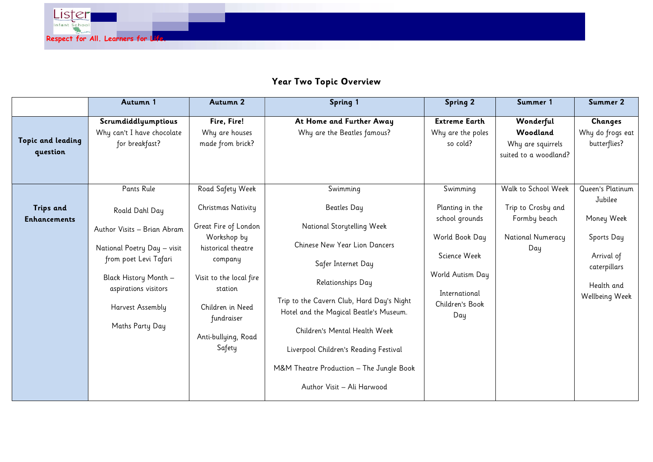

## Year Two Topic Overview

|                               | Autumn 1                                                            | Autumn 2                                          | <b>Spring 1</b>                                                                     | <b>Spring 2</b>                                       | Summer 1                                                            | Summer 2                                           |
|-------------------------------|---------------------------------------------------------------------|---------------------------------------------------|-------------------------------------------------------------------------------------|-------------------------------------------------------|---------------------------------------------------------------------|----------------------------------------------------|
| Topic and leading<br>question | Scrumdiddlyumptious<br>Why can't I have chocolate<br>for breakfast? | Fire, Fire!<br>Why are houses<br>made from brick? | At Home and Further Away<br>Why are the Beatles famous?                             | <b>Extreme Earth</b><br>Why are the poles<br>so cold? | Wonderful<br>Woodland<br>Why are squirrels<br>suited to a woodland? | <b>Changes</b><br>Why do frogs eat<br>butterflies? |
|                               | <b>Pants Rule</b>                                                   | Road Safety Week                                  | Swimming                                                                            | Swimming                                              | Walk to School Week                                                 | Queen's Platinum                                   |
| <b>Trips and</b>              | Roald Dahl Day                                                      | Christmas Nativity                                | <b>Beatles Day</b>                                                                  | Planting in the                                       | Trip to Crosby and                                                  | Jubilee                                            |
| <b>Enhancements</b>           | Author Visits - Brian Abram                                         | Great Fire of London                              | National Storytelling Week                                                          | school grounds                                        | Formby beach<br>National Numeracy                                   | Money Week                                         |
|                               | National Poetry Day - visit                                         | Workshop by<br>historical theatre                 | Chinese New Year Lion Dancers                                                       | World Book Day                                        | Day                                                                 | Sports Day                                         |
|                               | from poet Levi Tafari                                               | company                                           | Safer Internet Day                                                                  | Science Week                                          |                                                                     | Arrival of<br>caterpillars                         |
|                               | Black History Month -                                               | Visit to the local fire                           | Relationships Day                                                                   | World Autism Day                                      |                                                                     | Health and                                         |
|                               | aspirations visitors<br>Harvest Assembly                            | station<br>Children in Need<br>fundraiser         | Trip to the Cavern Club, Hard Day's Night<br>Hotel and the Magical Beatle's Museum. | International<br>Children's Book<br>Day               |                                                                     | Wellbeing Week                                     |
|                               | Maths Party Day                                                     | Anti-bullying, Road                               | Children's Mental Health Week                                                       |                                                       |                                                                     |                                                    |
|                               |                                                                     | Safety                                            | Liverpool Children's Reading Festival                                               |                                                       |                                                                     |                                                    |
|                               |                                                                     |                                                   | M&M Theatre Production - The Jungle Book                                            |                                                       |                                                                     |                                                    |
|                               |                                                                     |                                                   | Author Visit - Ali Harwood                                                          |                                                       |                                                                     |                                                    |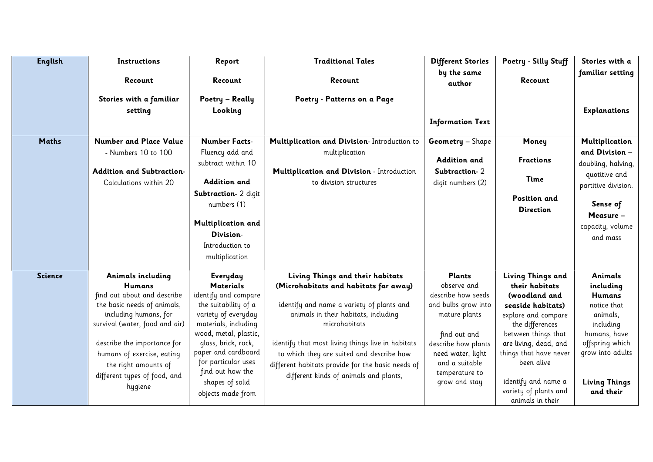| <b>English</b> | Instructions                                                                                                                                                                                                                                                                                | Report                                                                                                                                                                                                                                                                                | <b>Traditional Tales</b>                                                                                                                                                                                                                                                                                                                                                         | <b>Different Stories</b>                                                                                                                                                                                    | Poetry - Silly Stuff                                                                                                                                                                                                                                                            | Stories with a                                                                                                                                                            |
|----------------|---------------------------------------------------------------------------------------------------------------------------------------------------------------------------------------------------------------------------------------------------------------------------------------------|---------------------------------------------------------------------------------------------------------------------------------------------------------------------------------------------------------------------------------------------------------------------------------------|----------------------------------------------------------------------------------------------------------------------------------------------------------------------------------------------------------------------------------------------------------------------------------------------------------------------------------------------------------------------------------|-------------------------------------------------------------------------------------------------------------------------------------------------------------------------------------------------------------|---------------------------------------------------------------------------------------------------------------------------------------------------------------------------------------------------------------------------------------------------------------------------------|---------------------------------------------------------------------------------------------------------------------------------------------------------------------------|
|                | Recount                                                                                                                                                                                                                                                                                     | Recount                                                                                                                                                                                                                                                                               | Recount                                                                                                                                                                                                                                                                                                                                                                          | by the same<br>author                                                                                                                                                                                       | Recount                                                                                                                                                                                                                                                                         | familiar setting                                                                                                                                                          |
|                | Stories with a familiar<br>setting                                                                                                                                                                                                                                                          | Poetry - Really<br>Looking                                                                                                                                                                                                                                                            | Poetry - Patterns on a Page                                                                                                                                                                                                                                                                                                                                                      | <b>Information Text</b>                                                                                                                                                                                     |                                                                                                                                                                                                                                                                                 | <b>Explanations</b>                                                                                                                                                       |
| <b>Maths</b>   | <b>Number and Place Value</b>                                                                                                                                                                                                                                                               | <b>Number Facts-</b>                                                                                                                                                                                                                                                                  | Multiplication and Division- Introduction to                                                                                                                                                                                                                                                                                                                                     | <b>Geometry</b> - Shape                                                                                                                                                                                     | Money                                                                                                                                                                                                                                                                           | Multiplication                                                                                                                                                            |
|                | - Numbers 10 to 100<br><b>Addition and Subtraction-</b><br>Calculations within 20                                                                                                                                                                                                           | Fluency add and<br>subtract within 10<br><b>Addition and</b>                                                                                                                                                                                                                          | multiplication<br>Multiplication and Division - Introduction<br>to division structures                                                                                                                                                                                                                                                                                           | Addition and<br>Subtraction-2<br>digit numbers (2)                                                                                                                                                          | <b>Fractions</b><br>Time                                                                                                                                                                                                                                                        | and Division -<br>doubling, halving,<br>quotitive and<br>partitive division.                                                                                              |
|                |                                                                                                                                                                                                                                                                                             | Subtraction- 2 digit<br>numbers (1)<br>Multiplication and<br>Division-<br>Introduction to<br>multiplication                                                                                                                                                                           |                                                                                                                                                                                                                                                                                                                                                                                  |                                                                                                                                                                                                             | <b>Position and</b><br><b>Direction</b>                                                                                                                                                                                                                                         | Sense of<br>Measure -<br>capacity, volume<br>and mass                                                                                                                     |
| <b>Science</b> | Animals including<br><b>Humans</b><br>find out about and describe<br>the basic needs of animals,<br>including humans, for<br>survival (water, food and air)<br>describe the importance for<br>humans of exercise, eating<br>the right amounts of<br>different types of food, and<br>hygiene | Everyday<br><b>Materials</b><br>identify and compare<br>the suitability of a<br>variety of everyday<br>materials, including<br>wood, metal, plastic,<br>glass, brick, rock,<br>paper and cardboard<br>for particular uses<br>find out how the<br>shapes of solid<br>objects made from | Living Things and their habitats<br>(Microhabitats and habitats far away)<br>identify and name a variety of plants and<br>animals in their habitats, including<br>microhabitats<br>identify that most living things live in habitats<br>to which they are suited and describe how<br>different habitats provide for the basic needs of<br>different kinds of animals and plants, | <b>Plants</b><br>observe and<br>describe how seeds<br>and bulbs grow into<br>mature plants<br>find out and<br>describe how plants<br>need water, light<br>and a suitable<br>temperature to<br>grow and stay | Living Things and<br>their habitats<br>(woodland and<br>seaside habitats)<br>explore and compare<br>the differences<br>between things that<br>are living, dead, and<br>things that have never<br>been alive<br>identify and name a<br>variety of plants and<br>animals in their | Animals<br>including<br><b>Humans</b><br>notice that<br>animals,<br>including<br>humans, have<br>offspring which<br>grow into adults<br><b>Living Things</b><br>and their |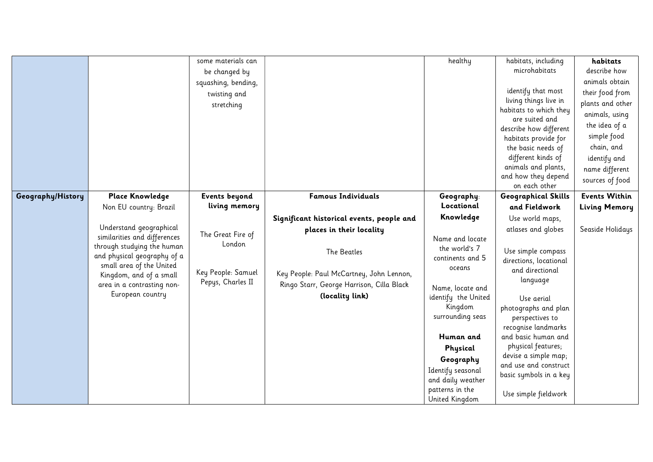|                   |                                                       | some materials can   |                                           | healthy                                | habitats, including                    | habitats             |
|-------------------|-------------------------------------------------------|----------------------|-------------------------------------------|----------------------------------------|----------------------------------------|----------------------|
|                   |                                                       | be changed by        |                                           |                                        | microhabitats                          | describe how         |
|                   |                                                       | squashing, bending,  |                                           |                                        | identify that most                     | animals obtain       |
|                   |                                                       | twisting and         |                                           |                                        | living things live in                  | their food from      |
|                   |                                                       | stretching           |                                           |                                        | habitats to which they                 | plants and other     |
|                   |                                                       |                      |                                           |                                        | are suited and                         | animals, using       |
|                   |                                                       |                      |                                           |                                        | describe how different                 | the idea of a        |
|                   |                                                       |                      |                                           |                                        | habitats provide for                   | simple food          |
|                   |                                                       |                      |                                           |                                        | the basic needs of                     | chain, and           |
|                   |                                                       |                      |                                           |                                        | different kinds of                     | identify and         |
|                   |                                                       |                      |                                           |                                        | animals and plants,                    | name different       |
|                   |                                                       |                      |                                           |                                        | and how they depend<br>on each other   | sources of food      |
| Geography/History | Place Knowledge                                       | <b>Events beyond</b> | <b>Famous Individuals</b>                 | Geography:                             | <b>Geographical Skills</b>             | <b>Events Within</b> |
|                   | Non EU country: Brazil                                | living memory        |                                           | Locational                             | and Fieldwork                          | <b>Living Memory</b> |
|                   |                                                       |                      | Significant historical events, people and | Knowledge                              | Use world maps,                        |                      |
|                   | Understand geographical                               |                      | places in their locality                  |                                        | atlases and globes                     | Seaside Holidays     |
|                   | similarities and differences                          | The Great Fire of    |                                           | Name and locate                        |                                        |                      |
|                   | through studying the human                            | London               | The Beatles                               | the world's 7                          | Use simple compass                     |                      |
|                   | and physical geography of a                           |                      |                                           | continents and 5                       | directions, locational                 |                      |
|                   | small area of the United                              | Key People: Samuel   | Key People: Paul McCartney, John Lennon,  | oceans                                 | and directional                        |                      |
|                   | Kingdom, and of a small<br>area in a contrasting non- | Pepys, Charles II    | Ringo Starr, George Harrison, Cilla Black |                                        | language                               |                      |
|                   | European country                                      |                      | (locality link)                           | Name, locate and                       |                                        |                      |
|                   |                                                       |                      |                                           | identify the United                    | Use aerial                             |                      |
|                   |                                                       |                      |                                           | Kingdom<br>surrounding seas            | photographs and plan                   |                      |
|                   |                                                       |                      |                                           |                                        | perspectives to<br>recognise landmarks |                      |
|                   |                                                       |                      |                                           | Human and                              | and basic human and                    |                      |
|                   |                                                       |                      |                                           | Physical                               | physical features;                     |                      |
|                   |                                                       |                      |                                           |                                        | devise a simple map;                   |                      |
|                   |                                                       |                      |                                           | Geography                              | and use and construct                  |                      |
|                   |                                                       |                      |                                           | Identify seasonal<br>and daily weather | basic symbols in a key                 |                      |
|                   |                                                       |                      |                                           | patterns in the                        |                                        |                      |
|                   |                                                       |                      |                                           | United Kingdom                         | Use simple fieldwork                   |                      |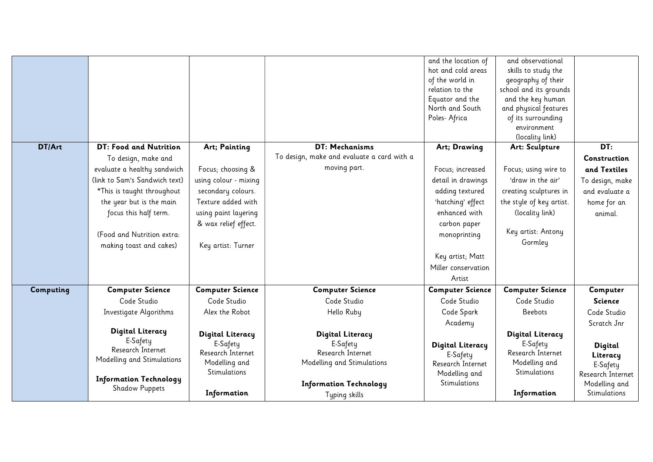|           |                               |                         |                                            | and the location of     | and observational        |                   |
|-----------|-------------------------------|-------------------------|--------------------------------------------|-------------------------|--------------------------|-------------------|
|           |                               |                         |                                            | hot and cold areas      | skills to study the      |                   |
|           |                               |                         |                                            | of the world in         | geography of their       |                   |
|           |                               |                         |                                            | relation to the         | school and its grounds   |                   |
|           |                               |                         |                                            | Equator and the         | and the key human        |                   |
|           |                               |                         |                                            | North and South         | and physical features    |                   |
|           |                               |                         |                                            | Poles- Africa           | of its surrounding       |                   |
|           |                               |                         |                                            |                         | environment              |                   |
|           |                               |                         |                                            |                         | (locality link)          |                   |
| DT/Art    | DT: Food and Nutrition        | Art; Painting           | DT: Mechanisms                             | Art; Drawing            | Art: Sculpture           | DT:               |
|           | To design, make and           |                         | To design, make and evaluate a card with a |                         |                          | Construction      |
|           | evaluate a healthy sandwich   | Focus; choosing &       | moving part.                               | Focus; increased        | Focus; using wire to     | and Textiles      |
|           | (link to Sam's Sandwich text) | using colour - mixing   |                                            | detail in drawings      | 'draw in the air'        | To design, make   |
|           | *This is taught throughout    | secondary colours.      |                                            | adding textured         | creating sculptures in   | and evaluate a    |
|           | the year but is the main      | Texture added with      |                                            | 'hatching' effect       | the style of key artist. | home for an       |
|           | focus this half term.         | using paint layering    |                                            | enhanced with           | (locality link)          | animal.           |
|           |                               | & wax relief effect.    |                                            | carbon paper            |                          |                   |
|           | (Food and Nutrition extra:    |                         |                                            | monoprinting            | Key artist: Antony       |                   |
|           | making toast and cakes)       | Key artist: Turner      |                                            |                         | Gormley                  |                   |
|           |                               |                         |                                            | Key artist; Matt        |                          |                   |
|           |                               |                         |                                            | Miller conservation     |                          |                   |
|           |                               |                         |                                            | Artist                  |                          |                   |
| Computing | <b>Computer Science</b>       | <b>Computer Science</b> | <b>Computer Science</b>                    | <b>Computer Science</b> | <b>Computer Science</b>  | Computer          |
|           | Code Studio                   | Code Studio             | Code Studio                                | Code Studio             | Code Studio              | <b>Science</b>    |
|           | Investigate Algorithms        | Alex the Robot          | Hello Ruby                                 | Code Spark              | <b>Beebots</b>           | Code Studio       |
|           |                               |                         |                                            | Academy                 |                          | Scratch Jnr       |
|           | <b>Digital Literacy</b>       | <b>Digital Literacy</b> | <b>Digital Literacy</b>                    |                         | <b>Digital Literacy</b>  |                   |
|           | E-Safety                      | E-Safety                | E-Safety                                   | <b>Digital Literacy</b> | E-Safety                 | Digital           |
|           | Research Internet             | Research Internet       | Research Internet                          | E-Safety                | Research Internet        | Literacy          |
|           | Modelling and Stimulations    | Modelling and           | Modelling and Stimulations                 | Research Internet       | Modelling and            | E-Safety          |
|           |                               | Stimulations            |                                            | Modelling and           | Stimulations             | Research Internet |
|           | <b>Information Technology</b> |                         | <b>Information Technology</b>              | Stimulations            |                          | Modelling and     |
|           | <b>Shadow Puppets</b>         | Information             | Typing skills                              |                         | Information              | Stimulations      |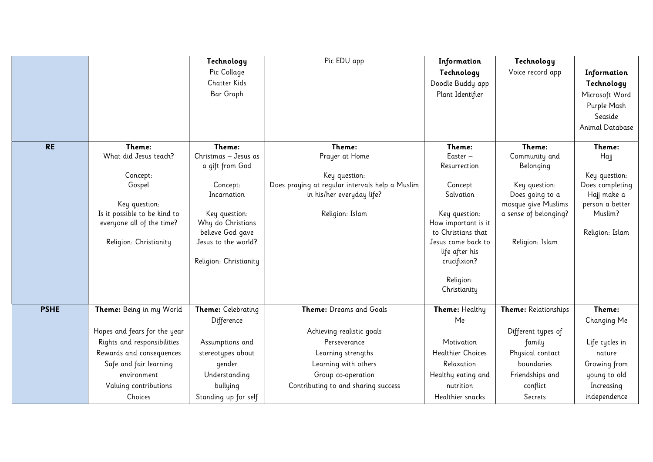|             |                              | Technology              | Pic EDU app                                                                  | Information           | Technology                       |                                |
|-------------|------------------------------|-------------------------|------------------------------------------------------------------------------|-----------------------|----------------------------------|--------------------------------|
|             |                              | Pic Collage             |                                                                              | Technology            | Voice record app                 | Information                    |
|             |                              | <b>Chatter Kids</b>     |                                                                              | Doodle Buddy app      |                                  | Technology                     |
|             |                              | Bar Graph               |                                                                              | Plant Identifier      |                                  | Microsoft Word                 |
|             |                              |                         |                                                                              |                       |                                  | Purple Mash                    |
|             |                              |                         |                                                                              |                       |                                  | Seaside                        |
|             |                              |                         |                                                                              |                       |                                  | Animal Database                |
|             |                              |                         |                                                                              |                       |                                  |                                |
| <b>RE</b>   | Theme:                       | Theme:                  | Theme:                                                                       | Theme:                | Theme:                           | Theme:                         |
|             | What did Jesus teach?        | Christmas - Jesus as    | Prayer at Home                                                               | Easter -              | Community and                    | Hajj                           |
|             |                              | a gift from God         |                                                                              | Resurrection          | Belonging                        |                                |
|             | Concept:                     |                         | Key question:                                                                |                       |                                  | Key question:                  |
|             | Gospel                       | Concept:<br>Incarnation | Does praying at regular intervals help a Muslim<br>in his/her everyday life? | Concept<br>Salvation  | Key question:<br>Does going to a | Does completing<br>Hajj make a |
|             | Key question:                |                         |                                                                              |                       | mosque give Muslims              | person a better                |
|             | Is it possible to be kind to | Key question:           | Religion: Islam                                                              | Key question:         | a sense of belonging?            | Muslim?                        |
|             | everyone all of the time?    | Why do Christians       |                                                                              | How important is it   |                                  |                                |
|             |                              | believe God gave        |                                                                              | to Christians that    |                                  | Religion: Islam                |
|             | Religion: Christianity       | Jesus to the world?     |                                                                              | Jesus came back to    | Religion: Islam                  |                                |
|             |                              |                         |                                                                              | life after his        |                                  |                                |
|             |                              | Religion: Christianity  |                                                                              | crucifixion?          |                                  |                                |
|             |                              |                         |                                                                              | Religion:             |                                  |                                |
|             |                              |                         |                                                                              | Christianity          |                                  |                                |
|             |                              |                         |                                                                              |                       |                                  |                                |
| <b>PSHE</b> | Theme: Being in my World     | Theme: Celebrating      | Theme: Dreams and Goals                                                      | <b>Theme:</b> Healthy | Theme: Relationships             | Theme:                         |
|             |                              | Difference              |                                                                              | Me                    |                                  | Changing Me                    |
|             | Hopes and fears for the year |                         | Achieving realistic goals                                                    |                       | Different types of               |                                |
|             | Rights and responsibilities  | Assumptions and         | Perseverance                                                                 | Motivation            | family                           | Life cycles in                 |
|             | Rewards and consequences     | stereotypes about       | Learning strengths                                                           | Healthier Choices     | Physical contact                 | nature                         |
|             | Safe and fair learning       | gender                  | Learning with others                                                         | Relaxation            | boundaries                       | Growing from                   |
|             | environment                  | Understanding           | Group co-operation                                                           | Healthy eating and    | Friendships and                  | young to old                   |
|             | Valuing contributions        | bullying                | Contributing to and sharing success                                          | nutrition             | conflict                         | Increasing                     |
|             | Choices                      | Standing up for self    |                                                                              | Healthier snacks      | Secrets                          | independence                   |